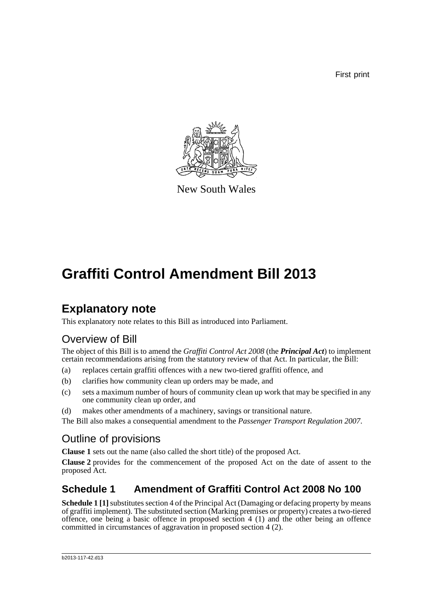First print



New South Wales

# **Graffiti Control Amendment Bill 2013**

## **Explanatory note**

This explanatory note relates to this Bill as introduced into Parliament.

## Overview of Bill

The object of this Bill is to amend the *Graffiti Control Act 2008* (the *Principal Act*) to implement certain recommendations arising from the statutory review of that Act. In particular, the Bill:

- (a) replaces certain graffiti offences with a new two-tiered graffiti offence, and
- (b) clarifies how community clean up orders may be made, and
- (c) sets a maximum number of hours of community clean up work that may be specified in any one community clean up order, and
- (d) makes other amendments of a machinery, savings or transitional nature.

The Bill also makes a consequential amendment to the *Passenger Transport Regulation 2007*.

## Outline of provisions

**Clause 1** sets out the name (also called the short title) of the proposed Act.

**Clause 2** provides for the commencement of the proposed Act on the date of assent to the proposed Act.

### **Schedule 1 Amendment of Graffiti Control Act 2008 No 100**

**Schedule 1 [1]** substitutes section 4 of the Principal Act (Damaging or defacing property by means of graffiti implement). The substituted section (Marking premises or property) creates a two-tiered offence, one being a basic offence in proposed section 4 (1) and the other being an offence committed in circumstances of aggravation in proposed section 4 (2).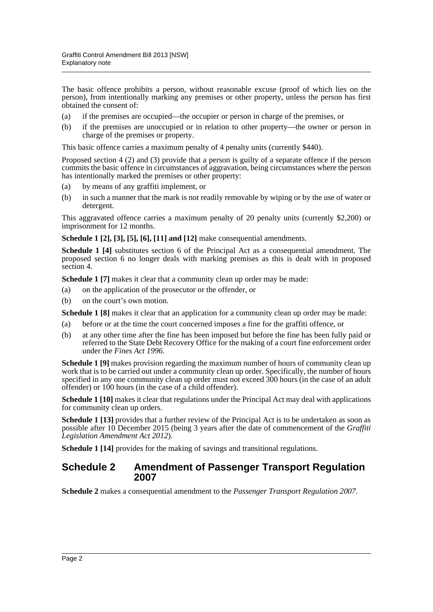The basic offence prohibits a person, without reasonable excuse (proof of which lies on the person), from intentionally marking any premises or other property, unless the person has first obtained the consent of:

- (a) if the premises are occupied—the occupier or person in charge of the premises, or
- (b) if the premises are unoccupied or in relation to other property—the owner or person in charge of the premises or property.

This basic offence carries a maximum penalty of 4 penalty units (currently \$440).

Proposed section 4 (2) and (3) provide that a person is guilty of a separate offence if the person commits the basic offence in circumstances of aggravation, being circumstances where the person has intentionally marked the premises or other property:

- (a) by means of any graffiti implement, or
- (b) in such a manner that the mark is not readily removable by wiping or by the use of water or detergent.

This aggravated offence carries a maximum penalty of 20 penalty units (currently \$2,200) or imprisonment for 12 months.

**Schedule 1 [2], [3], [5], [6], [11] and [12]** make consequential amendments.

**Schedule 1 [4]** substitutes section 6 of the Principal Act as a consequential amendment. The proposed section 6 no longer deals with marking premises as this is dealt with in proposed section 4.

**Schedule 1** [7] makes it clear that a community clean up order may be made:

- (a) on the application of the prosecutor or the offender, or
- (b) on the court's own motion.

**Schedule 1 [8]** makes it clear that an application for a community clean up order may be made:

- (a) before or at the time the court concerned imposes a fine for the graffiti offence, or
- (b) at any other time after the fine has been imposed but before the fine has been fully paid or referred to the State Debt Recovery Office for the making of a court fine enforcement order under the *Fines Act 1996*.

**Schedule 1 [9]** makes provision regarding the maximum number of hours of community clean up work that is to be carried out under a community clean up order. Specifically, the number of hours specified in any one community clean up order must not exceed 300 hours (in the case of an adult offender) or 100 hours (in the case of a child offender).

**Schedule 1 [10]** makes it clear that regulations under the Principal Act may deal with applications for community clean up orders.

**Schedule 1 [13]** provides that a further review of the Principal Act is to be undertaken as soon as possible after 10 December 2015 (being 3 years after the date of commencement of the *Graffiti Legislation Amendment Act 2012*).

**Schedule 1 [14]** provides for the making of savings and transitional regulations.

#### **Schedule 2 Amendment of Passenger Transport Regulation 2007**

**Schedule 2** makes a consequential amendment to the *Passenger Transport Regulation 2007*.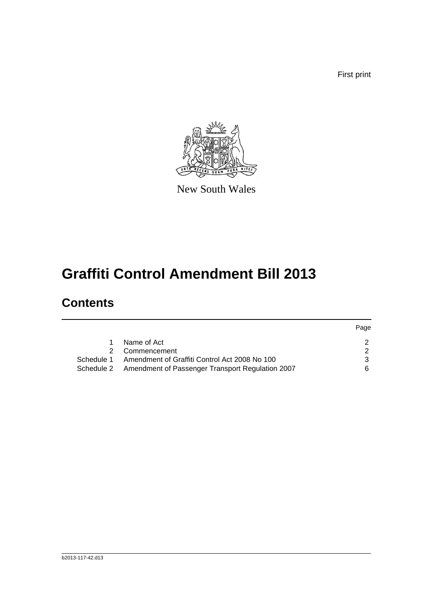First print



New South Wales

# **Graffiti Control Amendment Bill 2013**

## **Contents**

|            |                                                             | Page |
|------------|-------------------------------------------------------------|------|
| 1.         | Name of Act                                                 |      |
|            | Commencement                                                |      |
| Schedule 1 | Amendment of Graffiti Control Act 2008 No 100               |      |
|            | Schedule 2 Amendment of Passenger Transport Regulation 2007 | 6    |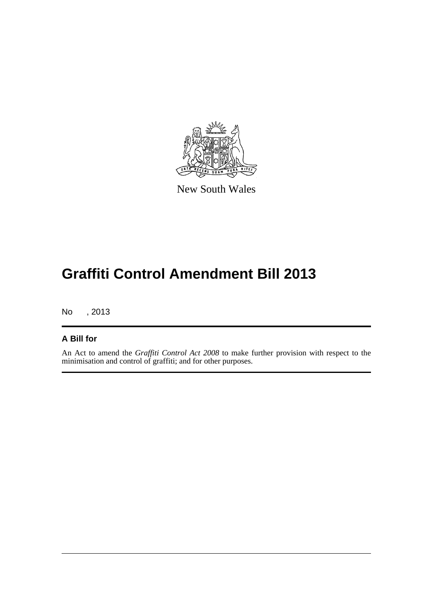

New South Wales

# **Graffiti Control Amendment Bill 2013**

No , 2013

#### **A Bill for**

An Act to amend the *Graffiti Control Act 2008* to make further provision with respect to the minimisation and control of graffiti; and for other purposes.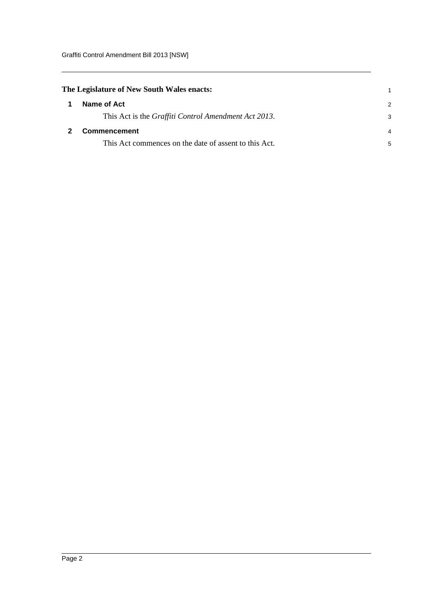<span id="page-4-1"></span><span id="page-4-0"></span>

| The Legislature of New South Wales enacts: |                                                              |               |
|--------------------------------------------|--------------------------------------------------------------|---------------|
| 1                                          | Name of Act                                                  | $\mathcal{P}$ |
|                                            | This Act is the <i>Graffiti Control Amendment Act 2013</i> . | 3             |
|                                            | Commencement                                                 |               |
|                                            | This Act commences on the date of assent to this Act.        | 5             |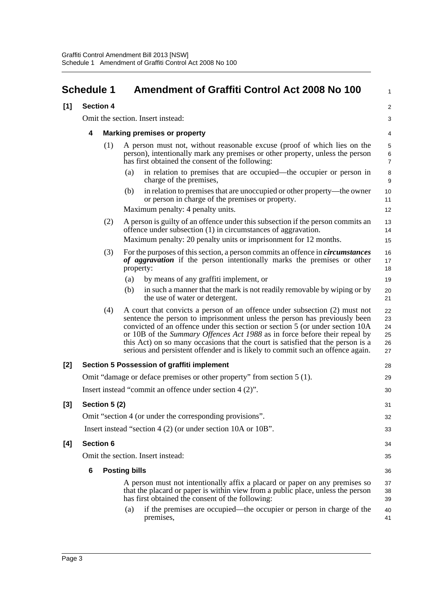<span id="page-5-0"></span>

|                                                                                                                                   | <b>Schedule 1</b>                          |               |                                     | <b>Amendment of Graffiti Control Act 2008 No 100</b>                                                                                                                                                                                                                                                                                                                                                                                                                                         | 1                                |
|-----------------------------------------------------------------------------------------------------------------------------------|--------------------------------------------|---------------|-------------------------------------|----------------------------------------------------------------------------------------------------------------------------------------------------------------------------------------------------------------------------------------------------------------------------------------------------------------------------------------------------------------------------------------------------------------------------------------------------------------------------------------------|----------------------------------|
| [1]<br><b>Section 4</b>                                                                                                           |                                            |               |                                     |                                                                                                                                                                                                                                                                                                                                                                                                                                                                                              | $\overline{\mathbf{c}}$          |
|                                                                                                                                   |                                            |               | Omit the section. Insert instead:   |                                                                                                                                                                                                                                                                                                                                                                                                                                                                                              | 3                                |
|                                                                                                                                   | 4                                          |               | <b>Marking premises or property</b> |                                                                                                                                                                                                                                                                                                                                                                                                                                                                                              | 4                                |
|                                                                                                                                   |                                            | (1)           |                                     | A person must not, without reasonable excuse (proof of which lies on the<br>person), intentionally mark any premises or other property, unless the person<br>has first obtained the consent of the following:                                                                                                                                                                                                                                                                                | 5<br>6<br>7                      |
|                                                                                                                                   |                                            |               | (a)<br>charge of the premises,      | in relation to premises that are occupied—the occupier or person in                                                                                                                                                                                                                                                                                                                                                                                                                          | 8<br>9                           |
|                                                                                                                                   |                                            |               | (b)                                 | in relation to premises that are unoccupied or other property—the owner<br>or person in charge of the premises or property.                                                                                                                                                                                                                                                                                                                                                                  | 10<br>11                         |
|                                                                                                                                   |                                            |               | Maximum penalty: 4 penalty units.   |                                                                                                                                                                                                                                                                                                                                                                                                                                                                                              | 12                               |
|                                                                                                                                   |                                            | (2)           |                                     | A person is guilty of an offence under this subsection if the person commits an<br>offence under subsection (1) in circumstances of aggravation.                                                                                                                                                                                                                                                                                                                                             | 13<br>14                         |
|                                                                                                                                   |                                            |               |                                     | Maximum penalty: 20 penalty units or imprisonment for 12 months.                                                                                                                                                                                                                                                                                                                                                                                                                             | 15                               |
|                                                                                                                                   |                                            | (3)           | property:                           | For the purposes of this section, a person commits an offence in <i>circumstances</i><br>of aggravation if the person intentionally marks the premises or other                                                                                                                                                                                                                                                                                                                              | 16<br>17<br>18                   |
|                                                                                                                                   |                                            |               | (a)                                 | by means of any graffiti implement, or                                                                                                                                                                                                                                                                                                                                                                                                                                                       | 19                               |
|                                                                                                                                   |                                            |               | (b)                                 | in such a manner that the mark is not readily removable by wiping or by<br>the use of water or detergent.                                                                                                                                                                                                                                                                                                                                                                                    | 20<br>21                         |
|                                                                                                                                   |                                            | (4)           |                                     | A court that convicts a person of an offence under subsection (2) must not<br>sentence the person to imprisonment unless the person has previously been<br>convicted of an offence under this section or section 5 (or under section 10A)<br>or 10B of the Summary Offences Act 1988 as in force before their repeal by<br>this Act) on so many occasions that the court is satisfied that the person is a<br>serious and persistent offender and is likely to commit such an offence again. | 22<br>23<br>24<br>25<br>26<br>27 |
| $[2]$                                                                                                                             | Section 5 Possession of graffiti implement |               |                                     | 28                                                                                                                                                                                                                                                                                                                                                                                                                                                                                           |                                  |
| Omit "damage or deface premises or other property" from section 5 (1).<br>Insert instead "commit an offence under section 4 (2)". |                                            |               | 29                                  |                                                                                                                                                                                                                                                                                                                                                                                                                                                                                              |                                  |
|                                                                                                                                   |                                            |               |                                     |                                                                                                                                                                                                                                                                                                                                                                                                                                                                                              | 30                               |
| $[3]$                                                                                                                             |                                            | Section 5 (2) |                                     |                                                                                                                                                                                                                                                                                                                                                                                                                                                                                              | 31                               |
|                                                                                                                                   |                                            |               |                                     | Omit "section 4 (or under the corresponding provisions".                                                                                                                                                                                                                                                                                                                                                                                                                                     | 32                               |
|                                                                                                                                   |                                            |               |                                     | Insert instead "section 4 (2) (or under section 10A or 10B".                                                                                                                                                                                                                                                                                                                                                                                                                                 | 33                               |
| [4]                                                                                                                               | <b>Section 6</b>                           |               |                                     |                                                                                                                                                                                                                                                                                                                                                                                                                                                                                              | 34                               |
|                                                                                                                                   |                                            |               | Omit the section. Insert instead:   |                                                                                                                                                                                                                                                                                                                                                                                                                                                                                              | 35                               |
| 6<br><b>Posting bills</b>                                                                                                         |                                            |               |                                     |                                                                                                                                                                                                                                                                                                                                                                                                                                                                                              | 36                               |
|                                                                                                                                   |                                            |               |                                     | A person must not intentionally affix a placard or paper on any premises so<br>that the placard or paper is within view from a public place, unless the person<br>has first obtained the consent of the following:                                                                                                                                                                                                                                                                           | 37<br>38<br>39                   |
|                                                                                                                                   |                                            |               | (a)<br>premises,                    | if the premises are occupied—the occupier or person in charge of the                                                                                                                                                                                                                                                                                                                                                                                                                         | 40<br>41                         |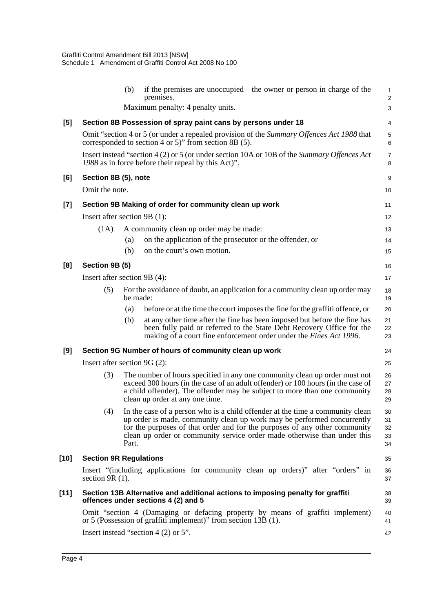|       |                                                                                                                                                    | (b)      | if the premises are unoccupied—the owner or person in charge of the<br>premises.                                                                                                                                                                                                                                   | $\mathbf{1}$<br>$\overline{2}$ |
|-------|----------------------------------------------------------------------------------------------------------------------------------------------------|----------|--------------------------------------------------------------------------------------------------------------------------------------------------------------------------------------------------------------------------------------------------------------------------------------------------------------------|--------------------------------|
|       |                                                                                                                                                    |          | Maximum penalty: 4 penalty units.                                                                                                                                                                                                                                                                                  | 3                              |
| [5]   |                                                                                                                                                    |          | Section 8B Possession of spray paint cans by persons under 18                                                                                                                                                                                                                                                      | 4                              |
|       |                                                                                                                                                    |          | Omit "section 4 or 5 (or under a repealed provision of the Summary Offences Act 1988 that<br>corresponded to section 4 or 5)" from section 8B $(5)$ .                                                                                                                                                              | 5<br>$6\phantom{1}6$           |
|       | Insert instead "section 4 (2) or 5 (or under section 10A or 10B of the Summary Offences Act<br>1988 as in force before their repeal by this Act)". |          |                                                                                                                                                                                                                                                                                                                    | $\overline{7}$<br>8            |
| [6]   | Section 8B (5), note                                                                                                                               |          |                                                                                                                                                                                                                                                                                                                    | 9                              |
|       | Omit the note.                                                                                                                                     |          |                                                                                                                                                                                                                                                                                                                    | 10                             |
| $[7]$ |                                                                                                                                                    |          | Section 9B Making of order for community clean up work                                                                                                                                                                                                                                                             | 11                             |
|       | Insert after section 9B (1):                                                                                                                       |          |                                                                                                                                                                                                                                                                                                                    | 12                             |
|       | (1A)                                                                                                                                               |          | A community clean up order may be made:                                                                                                                                                                                                                                                                            | 13                             |
|       |                                                                                                                                                    | (a)      | on the application of the prosecutor or the offender, or                                                                                                                                                                                                                                                           | 14                             |
|       |                                                                                                                                                    | (b)      | on the court's own motion.                                                                                                                                                                                                                                                                                         | 15                             |
| [8]   | Section 9B (5)                                                                                                                                     |          |                                                                                                                                                                                                                                                                                                                    | 16                             |
|       | Insert after section 9B (4):                                                                                                                       |          |                                                                                                                                                                                                                                                                                                                    | 17                             |
|       | (5)                                                                                                                                                | be made: | For the avoidance of doubt, an application for a community clean up order may                                                                                                                                                                                                                                      | 18<br>19                       |
|       |                                                                                                                                                    | (a)      | before or at the time the court imposes the fine for the graffiti offence, or                                                                                                                                                                                                                                      | 20                             |
|       |                                                                                                                                                    | (b)      | at any other time after the fine has been imposed but before the fine has<br>been fully paid or referred to the State Debt Recovery Office for the<br>making of a court fine enforcement order under the <i>Fines Act 1996</i> .                                                                                   | 21<br>22<br>23                 |
| [9]   |                                                                                                                                                    |          | Section 9G Number of hours of community clean up work                                                                                                                                                                                                                                                              | 24                             |
|       | Insert after section $9G(2)$ :                                                                                                                     |          |                                                                                                                                                                                                                                                                                                                    | 25                             |
|       | (3)                                                                                                                                                |          | The number of hours specified in any one community clean up order must not<br>exceed 300 hours (in the case of an adult offender) or 100 hours (in the case of<br>a child offender). The offender may be subject to more than one community<br>clean up order at any one time.                                     | 26<br>27<br>28<br>29           |
|       | (4)                                                                                                                                                | Part.    | In the case of a person who is a child offender at the time a community clean<br>up order is made, community clean up work may be performed concurrently<br>for the purposes of that order and for the purposes of any other community<br>clean up order or community service order made otherwise than under this | 30<br>31<br>32<br>33<br>34     |
| [10]  | <b>Section 9R Regulations</b>                                                                                                                      |          |                                                                                                                                                                                                                                                                                                                    | 35                             |
|       | section $9R(1)$ .                                                                                                                                  |          | Insert "(including applications for community clean up orders)" after "orders" in                                                                                                                                                                                                                                  | 36<br>37                       |
| [11]  |                                                                                                                                                    |          | Section 13B Alternative and additional actions to imposing penalty for graffiti<br>offences under sections 4 (2) and 5                                                                                                                                                                                             | 38<br>39                       |
|       |                                                                                                                                                    |          | Omit "section 4 (Damaging or defacing property by means of graffiti implement)<br>or 5 (Possession of graffiti implement)" from section 13B (1).                                                                                                                                                                   | 40<br>41                       |
|       |                                                                                                                                                    |          | Insert instead "section 4 $(2)$ or 5".                                                                                                                                                                                                                                                                             | 42                             |
|       |                                                                                                                                                    |          |                                                                                                                                                                                                                                                                                                                    |                                |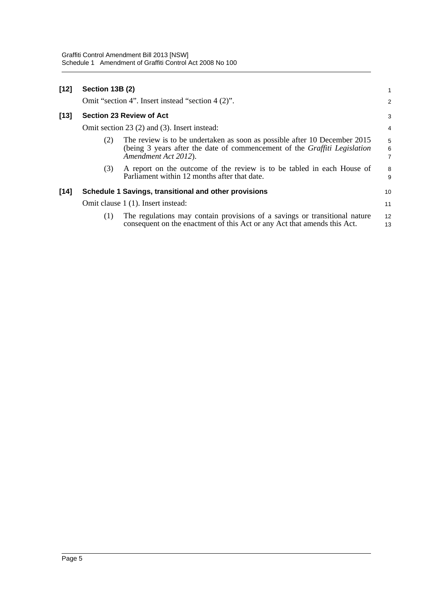| $[12]$ | Section 13B (2)                                   |                                                                                                                                                                                | 1                                     |
|--------|---------------------------------------------------|--------------------------------------------------------------------------------------------------------------------------------------------------------------------------------|---------------------------------------|
|        | Omit "section 4". Insert instead "section 4 (2)". |                                                                                                                                                                                |                                       |
| [13]   |                                                   | <b>Section 23 Review of Act</b>                                                                                                                                                | 3                                     |
|        | Omit section 23 (2) and (3). Insert instead:      |                                                                                                                                                                                | $\overline{4}$                        |
|        | (2)                                               | The review is to be undertaken as soon as possible after 10 December 2015<br>(being 3 years after the date of commencement of the Graffiti Legislation<br>Amendment Act 2012). | 5<br>$\overline{6}$<br>$\overline{7}$ |
|        | (3)                                               | A report on the outcome of the review is to be tabled in each House of<br>Parliament within 12 months after that date.                                                         | 8<br>9                                |
| $[14]$ |                                                   | Schedule 1 Savings, transitional and other provisions                                                                                                                          | 10                                    |
|        |                                                   | Omit clause 1 (1). Insert instead:                                                                                                                                             | 11                                    |
|        | (1)                                               | The regulations may contain provisions of a savings or transitional nature<br>consequent on the enactment of this Act or any Act that amends this Act.                         | 12<br>13                              |